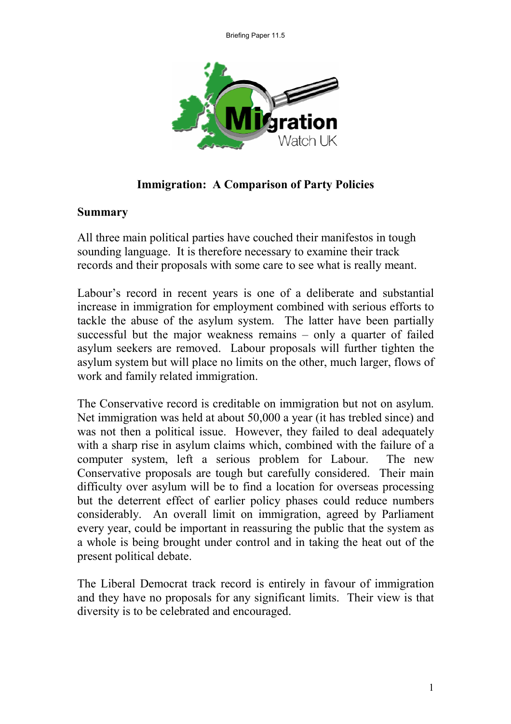

**Immigration: A Comparison of Party Policies** 

#### **Summary**

All three main political parties have couched their manifestos in tough sounding language. It is therefore necessary to examine their track records and their proposals with some care to see what is really meant.

Labour's record in recent years is one of a deliberate and substantial increase in immigration for employment combined with serious efforts to tackle the abuse of the asylum system. The latter have been partially successful but the major weakness remains – only a quarter of failed asylum seekers are removed. Labour proposals will further tighten the asylum system but will place no limits on the other, much larger, flows of work and family related immigration.

The Conservative record is creditable on immigration but not on asylum. Net immigration was held at about 50,000 a year (it has trebled since) and was not then a political issue. However, they failed to deal adequately with a sharp rise in asylum claims which, combined with the failure of a computer system, left a serious problem for Labour. The new Conservative proposals are tough but carefully considered. Their main difficulty over asylum will be to find a location for overseas processing but the deterrent effect of earlier policy phases could reduce numbers considerably. An overall limit on immigration, agreed by Parliament every year, could be important in reassuring the public that the system as a whole is being brought under control and in taking the heat out of the present political debate.

The Liberal Democrat track record is entirely in favour of immigration and they have no proposals for any significant limits. Their view is that diversity is to be celebrated and encouraged.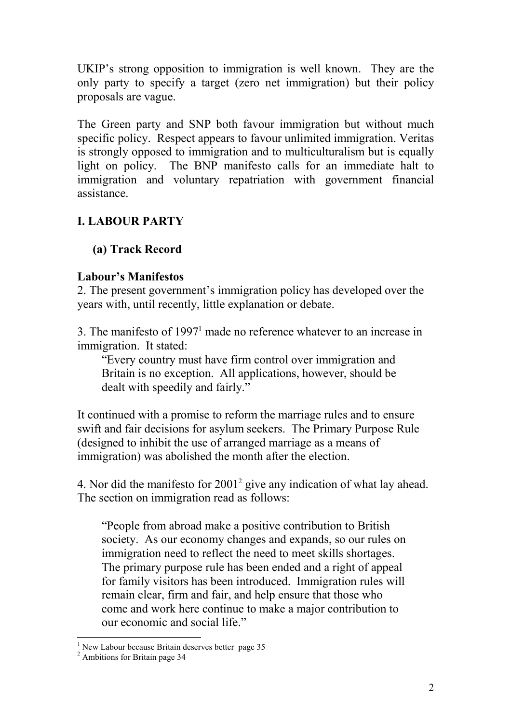UKIP's strong opposition to immigration is well known. They are the only party to specify a target (zero net immigration) but their policy proposals are vague.

The Green party and SNP both favour immigration but without much specific policy. Respect appears to favour unlimited immigration. Veritas is strongly opposed to immigration and to multiculturalism but is equally light on policy. The BNP manifesto calls for an immediate halt to immigration and voluntary repatriation with government financial assistance.

### **I. LABOUR PARTY**

#### **(a) Track Record**

#### **Labour's Manifestos**

2. The present government's immigration policy has developed over the years with, until recently, little explanation or debate.

3. The manifesto of  $1997<sup>1</sup>$  made no reference whatever to an increase in immigration. It stated:

"Every country must have firm control over immigration and Britain is no exception. All applications, however, should be dealt with speedily and fairly."

It continued with a promise to reform the marriage rules and to ensure swift and fair decisions for asylum seekers. The Primary Purpose Rule (designed to inhibit the use of arranged marriage as a means of immigration) was abolished the month after the election.

4. Nor did the manifesto for 20012 give any indication of what lay ahead. The section on immigration read as follows:

"People from abroad make a positive contribution to British society. As our economy changes and expands, so our rules on immigration need to reflect the need to meet skills shortages. The primary purpose rule has been ended and a right of appeal for family visitors has been introduced. Immigration rules will remain clear, firm and fair, and help ensure that those who come and work here continue to make a major contribution to our economic and social life."

 $<sup>1</sup>$  New Labour because Britain deserves better page 35</sup>

<sup>2</sup> Ambitions for Britain page 34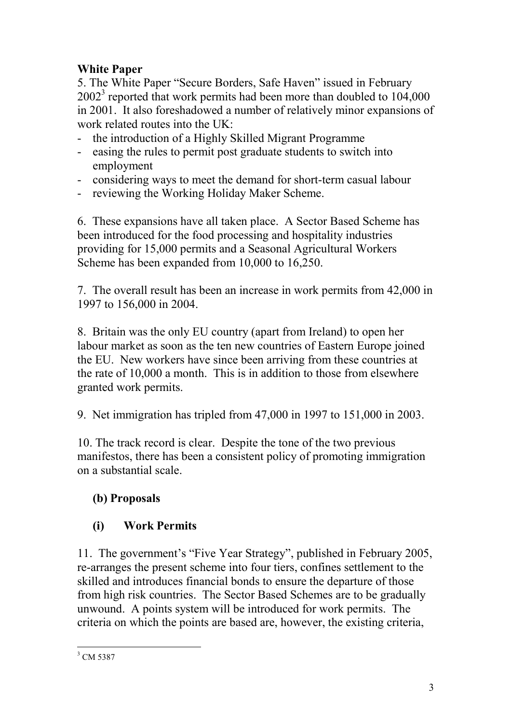## **White Paper**

5. The White Paper "Secure Borders, Safe Haven" issued in February  $2002<sup>3</sup>$  reported that work permits had been more than doubled to 104,000 in 2001. It also foreshadowed a number of relatively minor expansions of work related routes into the UK:

- the introduction of a Highly Skilled Migrant Programme
- easing the rules to permit post graduate students to switch into employment
- considering ways to meet the demand for short-term casual labour
- reviewing the Working Holiday Maker Scheme.

6. These expansions have all taken place. A Sector Based Scheme has been introduced for the food processing and hospitality industries providing for 15,000 permits and a Seasonal Agricultural Workers Scheme has been expanded from 10,000 to 16,250.

7. The overall result has been an increase in work permits from 42,000 in 1997 to 156,000 in 2004.

8. Britain was the only EU country (apart from Ireland) to open her labour market as soon as the ten new countries of Eastern Europe joined the EU. New workers have since been arriving from these countries at the rate of 10,000 a month. This is in addition to those from elsewhere granted work permits.

9. Net immigration has tripled from 47,000 in 1997 to 151,000 in 2003.

10. The track record is clear. Despite the tone of the two previous manifestos, there has been a consistent policy of promoting immigration on a substantial scale.

# **(b) Proposals**

# **(i) Work Permits**

11. The government's "Five Year Strategy", published in February 2005, re-arranges the present scheme into four tiers, confines settlement to the skilled and introduces financial bonds to ensure the departure of those from high risk countries. The Sector Based Schemes are to be gradually unwound. A points system will be introduced for work permits. The criteria on which the points are based are, however, the existing criteria,

<sup>&</sup>lt;sup>3</sup> CM 5387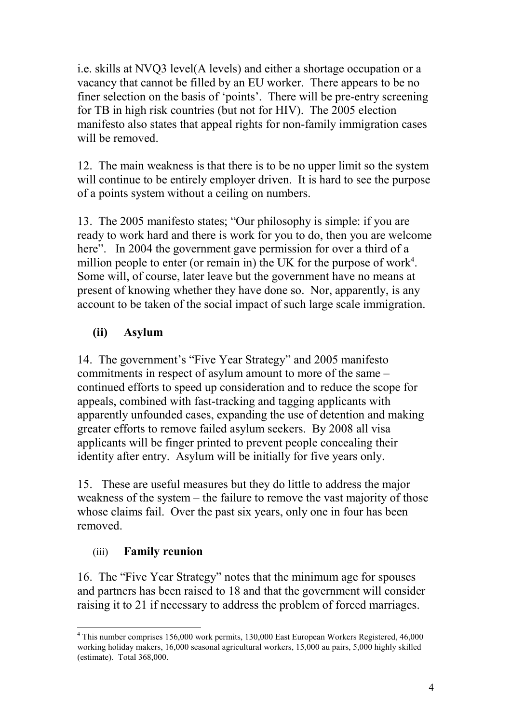i.e. skills at NVQ3 level(A levels) and either a shortage occupation or a vacancy that cannot be filled by an EU worker. There appears to be no finer selection on the basis of 'points'. There will be pre-entry screening for TB in high risk countries (but not for HIV). The 2005 election manifesto also states that appeal rights for non-family immigration cases will be removed.

12. The main weakness is that there is to be no upper limit so the system will continue to be entirely employer driven. It is hard to see the purpose of a points system without a ceiling on numbers.

13. The 2005 manifesto states; "Our philosophy is simple: if you are ready to work hard and there is work for you to do, then you are welcome here". In 2004 the government gave permission for over a third of a million people to enter (or remain in) the UK for the purpose of work<sup>4</sup>. Some will, of course, later leave but the government have no means at present of knowing whether they have done so. Nor, apparently, is any account to be taken of the social impact of such large scale immigration.

### **(ii) Asylum**

14. The government's "Five Year Strategy" and 2005 manifesto commitments in respect of asylum amount to more of the same – continued efforts to speed up consideration and to reduce the scope for appeals, combined with fast-tracking and tagging applicants with apparently unfounded cases, expanding the use of detention and making greater efforts to remove failed asylum seekers. By 2008 all visa applicants will be finger printed to prevent people concealing their identity after entry. Asylum will be initially for five years only.

15. These are useful measures but they do little to address the major weakness of the system – the failure to remove the vast majority of those whose claims fail. Over the past six years, only one in four has been removed.

#### (iii) **Family reunion**

16. The "Five Year Strategy" notes that the minimum age for spouses and partners has been raised to 18 and that the government will consider raising it to 21 if necessary to address the problem of forced marriages.

<sup>4</sup> This number comprises 156,000 work permits, 130,000 East European Workers Registered, 46,000 working holiday makers, 16,000 seasonal agricultural workers, 15,000 au pairs, 5,000 highly skilled (estimate). Total 368,000.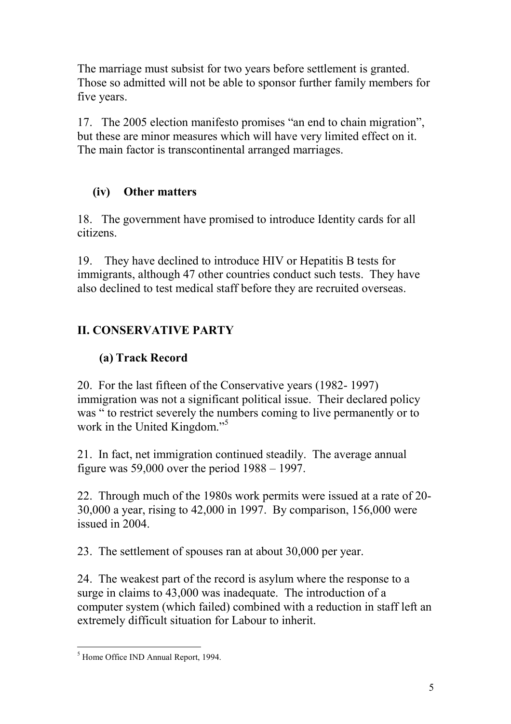The marriage must subsist for two years before settlement is granted. Those so admitted will not be able to sponsor further family members for five years.

17. The 2005 election manifesto promises "an end to chain migration", but these are minor measures which will have very limited effect on it. The main factor is transcontinental arranged marriages.

### **(iv) Other matters**

18. The government have promised to introduce Identity cards for all citizens.

19. They have declined to introduce HIV or Hepatitis B tests for immigrants, although 47 other countries conduct such tests. They have also declined to test medical staff before they are recruited overseas.

## **II. CONSERVATIVE PARTY**

### **(a) Track Record**

20. For the last fifteen of the Conservative years (1982- 1997) immigration was not a significant political issue. Their declared policy was " to restrict severely the numbers coming to live permanently or to work in the United Kingdom."<sup>5</sup>

21. In fact, net immigration continued steadily. The average annual figure was 59,000 over the period 1988 – 1997.

22. Through much of the 1980s work permits were issued at a rate of 20- 30,000 a year, rising to 42,000 in 1997. By comparison, 156,000 were issued in 2004.

23. The settlement of spouses ran at about 30,000 per year.

24. The weakest part of the record is asylum where the response to a surge in claims to 43,000 was inadequate. The introduction of a computer system (which failed) combined with a reduction in staff left an extremely difficult situation for Labour to inherit.

<sup>5</sup> Home Office IND Annual Report, 1994.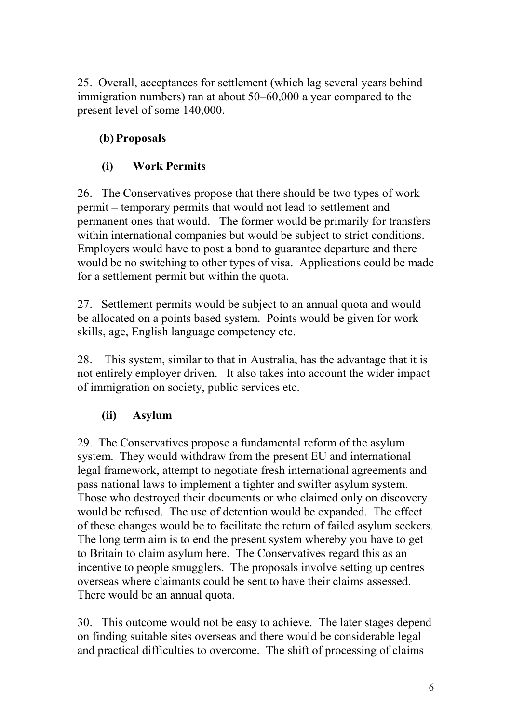25. Overall, acceptances for settlement (which lag several years behind immigration numbers) ran at about 50–60,000 a year compared to the present level of some 140,000.

## **(b) Proposals**

## **(i) Work Permits**

26. The Conservatives propose that there should be two types of work permit – temporary permits that would not lead to settlement and permanent ones that would. The former would be primarily for transfers within international companies but would be subject to strict conditions. Employers would have to post a bond to guarantee departure and there would be no switching to other types of visa. Applications could be made for a settlement permit but within the quota.

27. Settlement permits would be subject to an annual quota and would be allocated on a points based system. Points would be given for work skills, age, English language competency etc.

28. This system, similar to that in Australia, has the advantage that it is not entirely employer driven. It also takes into account the wider impact of immigration on society, public services etc.

## **(ii) Asylum**

29. The Conservatives propose a fundamental reform of the asylum system. They would withdraw from the present EU and international legal framework, attempt to negotiate fresh international agreements and pass national laws to implement a tighter and swifter asylum system. Those who destroyed their documents or who claimed only on discovery would be refused. The use of detention would be expanded. The effect of these changes would be to facilitate the return of failed asylum seekers. The long term aim is to end the present system whereby you have to get to Britain to claim asylum here. The Conservatives regard this as an incentive to people smugglers. The proposals involve setting up centres overseas where claimants could be sent to have their claims assessed. There would be an annual quota.

30. This outcome would not be easy to achieve. The later stages depend on finding suitable sites overseas and there would be considerable legal and practical difficulties to overcome. The shift of processing of claims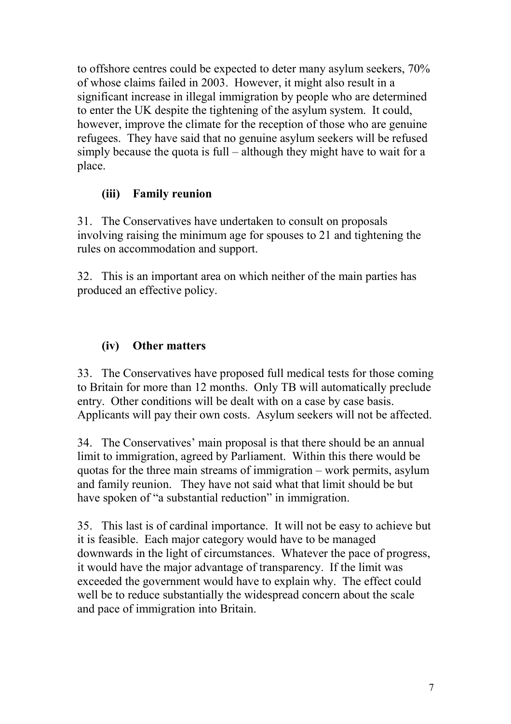to offshore centres could be expected to deter many asylum seekers, 70% of whose claims failed in 2003. However, it might also result in a significant increase in illegal immigration by people who are determined to enter the UK despite the tightening of the asylum system. It could, however, improve the climate for the reception of those who are genuine refugees. They have said that no genuine asylum seekers will be refused simply because the quota is full – although they might have to wait for a place.

#### **(iii) Family reunion**

31. The Conservatives have undertaken to consult on proposals involving raising the minimum age for spouses to 21 and tightening the rules on accommodation and support.

32. This is an important area on which neither of the main parties has produced an effective policy.

#### **(iv) Other matters**

33. The Conservatives have proposed full medical tests for those coming to Britain for more than 12 months. Only TB will automatically preclude entry. Other conditions will be dealt with on a case by case basis. Applicants will pay their own costs. Asylum seekers will not be affected.

34. The Conservatives' main proposal is that there should be an annual limit to immigration, agreed by Parliament. Within this there would be quotas for the three main streams of immigration – work permits, asylum and family reunion. They have not said what that limit should be but have spoken of "a substantial reduction" in immigration.

35. This last is of cardinal importance. It will not be easy to achieve but it is feasible. Each major category would have to be managed downwards in the light of circumstances. Whatever the pace of progress, it would have the major advantage of transparency. If the limit was exceeded the government would have to explain why. The effect could well be to reduce substantially the widespread concern about the scale and pace of immigration into Britain.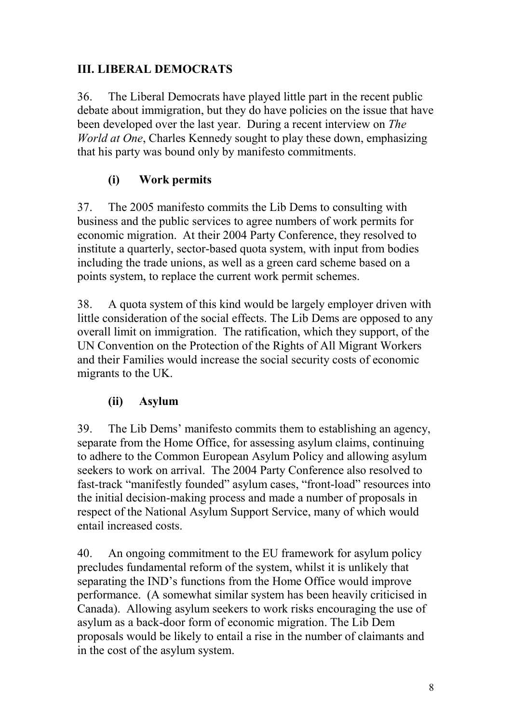### **III. LIBERAL DEMOCRATS**

36. The Liberal Democrats have played little part in the recent public debate about immigration, but they do have policies on the issue that have been developed over the last year. During a recent interview on *The World at One*, Charles Kennedy sought to play these down, emphasizing that his party was bound only by manifesto commitments.

## **(i) Work permits**

37. The 2005 manifesto commits the Lib Dems to consulting with business and the public services to agree numbers of work permits for economic migration. At their 2004 Party Conference, they resolved to institute a quarterly, sector-based quota system, with input from bodies including the trade unions, as well as a green card scheme based on a points system, to replace the current work permit schemes.

38. A quota system of this kind would be largely employer driven with little consideration of the social effects. The Lib Dems are opposed to any overall limit on immigration. The ratification, which they support, of the UN Convention on the Protection of the Rights of All Migrant Workers and their Families would increase the social security costs of economic migrants to the UK.

### **(ii) Asylum**

39. The Lib Dems' manifesto commits them to establishing an agency, separate from the Home Office, for assessing asylum claims, continuing to adhere to the Common European Asylum Policy and allowing asylum seekers to work on arrival. The 2004 Party Conference also resolved to fast-track "manifestly founded" asylum cases, "front-load" resources into the initial decision-making process and made a number of proposals in respect of the National Asylum Support Service, many of which would entail increased costs.

40. An ongoing commitment to the EU framework for asylum policy precludes fundamental reform of the system, whilst it is unlikely that separating the IND's functions from the Home Office would improve performance. (A somewhat similar system has been heavily criticised in Canada). Allowing asylum seekers to work risks encouraging the use of asylum as a back-door form of economic migration. The Lib Dem proposals would be likely to entail a rise in the number of claimants and in the cost of the asylum system.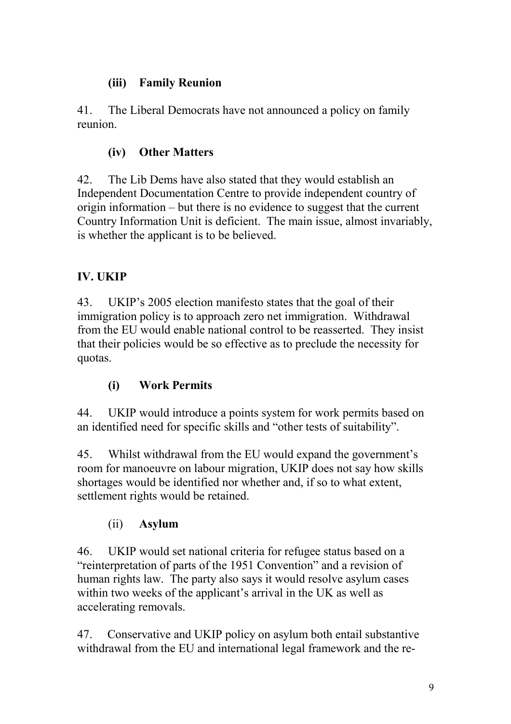### **(iii) Family Reunion**

41. The Liberal Democrats have not announced a policy on family reunion.

### **(iv) Other Matters**

42. The Lib Dems have also stated that they would establish an Independent Documentation Centre to provide independent country of origin information – but there is no evidence to suggest that the current Country Information Unit is deficient. The main issue, almost invariably, is whether the applicant is to be believed.

## **IV. UKIP**

43. UKIP's 2005 election manifesto states that the goal of their immigration policy is to approach zero net immigration. Withdrawal from the EU would enable national control to be reasserted. They insist that their policies would be so effective as to preclude the necessity for quotas.

## **(i) Work Permits**

44. UKIP would introduce a points system for work permits based on an identified need for specific skills and "other tests of suitability".

45. Whilst withdrawal from the EU would expand the government's room for manoeuvre on labour migration, UKIP does not say how skills shortages would be identified nor whether and, if so to what extent, settlement rights would be retained.

### (ii) **Asylum**

46. UKIP would set national criteria for refugee status based on a "reinterpretation of parts of the 1951 Convention" and a revision of human rights law. The party also says it would resolve asylum cases within two weeks of the applicant's arrival in the UK as well as accelerating removals.

47. Conservative and UKIP policy on asylum both entail substantive withdrawal from the EU and international legal framework and the re-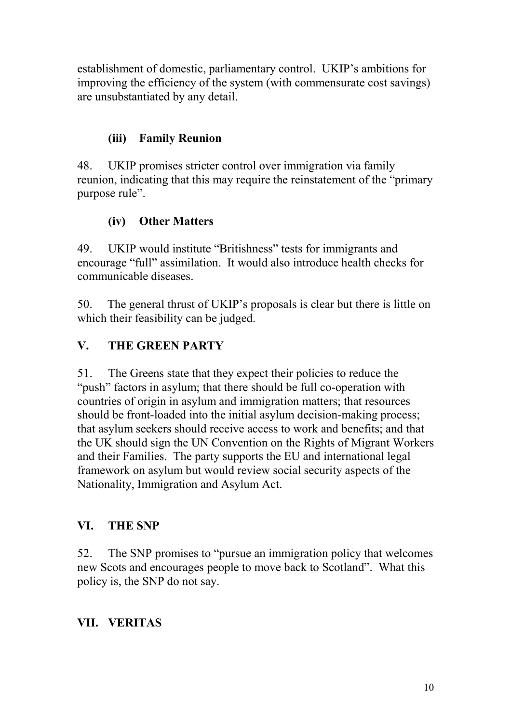establishment of domestic, parliamentary control. UKIP's ambitions for improving the efficiency of the system (with commensurate cost savings) are unsubstantiated by any detail.

### **(iii) Family Reunion**

48. UKIP promises stricter control over immigration via family reunion, indicating that this may require the reinstatement of the "primary purpose rule".

#### **(iv) Other Matters**

49. UKIP would institute "Britishness" tests for immigrants and encourage "full" assimilation. It would also introduce health checks for communicable diseases.

50. The general thrust of UKIP's proposals is clear but there is little on which their feasibility can be judged.

### **V. THE GREEN PARTY**

51. The Greens state that they expect their policies to reduce the "push" factors in asylum; that there should be full co-operation with countries of origin in asylum and immigration matters; that resources should be front-loaded into the initial asylum decision-making process; that asylum seekers should receive access to work and benefits; and that the UK should sign the UN Convention on the Rights of Migrant Workers and their Families. The party supports the EU and international legal framework on asylum but would review social security aspects of the Nationality, Immigration and Asylum Act.

#### **VI. THE SNP**

52. The SNP promises to "pursue an immigration policy that welcomes new Scots and encourages people to move back to Scotland". What this policy is, the SNP do not say.

### **VII. VERITAS**